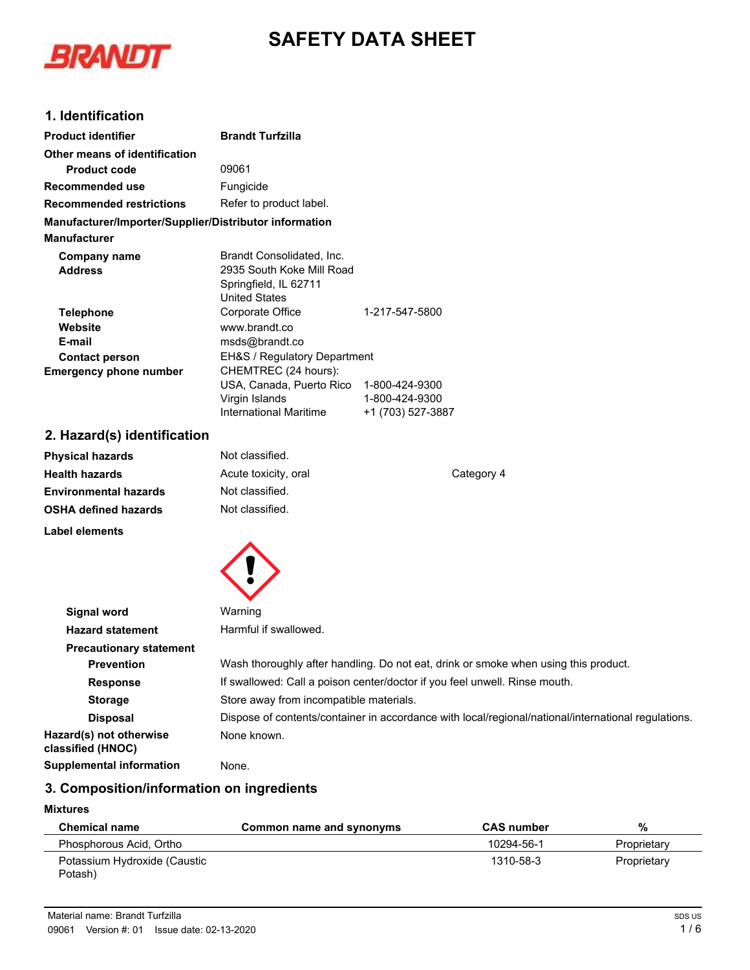# **SAFETY DATA SHEET**



# **1. Identification**

| <b>Product identifier</b>                                      | <b>Brandt Turfzilla</b>                                                                                     |                                     |    |
|----------------------------------------------------------------|-------------------------------------------------------------------------------------------------------------|-------------------------------------|----|
| Other means of identification                                  |                                                                                                             |                                     |    |
| <b>Product code</b>                                            | 09061                                                                                                       |                                     |    |
| Recommended use                                                | Fungicide                                                                                                   |                                     |    |
| <b>Recommended restrictions</b>                                | Refer to product label.                                                                                     |                                     |    |
| Manufacturer/Importer/Supplier/Distributor information         |                                                                                                             |                                     |    |
| <b>Manufacturer</b>                                            |                                                                                                             |                                     |    |
| Company name<br><b>Address</b>                                 | Brandt Consolidated, Inc.<br>2935 South Koke Mill Road<br>Springfield, IL 62711<br><b>United States</b>     |                                     |    |
| <b>Telephone</b><br>Website<br>E-mail<br><b>Contact person</b> | Corporate Office<br>www.brandt.co<br>msds@brandt.co<br>EH&S / Regulatory Department                         | 1-217-547-5800                      |    |
| <b>Emergency phone number</b>                                  | CHEMTREC (24 hours):<br>USA, Canada, Puerto Rico 1-800-424-9300<br>Virgin Islands<br>International Maritime | 1-800-424-9300<br>+1 (703) 527-3887 |    |
| 2. Hazard(s) identification                                    |                                                                                                             |                                     |    |
| <b>Physical hazards</b>                                        | Not classified.                                                                                             |                                     |    |
| <b>Llaalth hayarda</b>                                         | Acuto tovicity aral                                                                                         |                                     | r. |

| PIIYSIGAI HAZAIUS            | <u>ivul Giassilicu.</u> |            |
|------------------------------|-------------------------|------------|
| <b>Health hazards</b>        | Acute toxicity, oral    | Category 4 |
| <b>Environmental hazards</b> | Not classified.         |            |
| <b>OSHA defined hazards</b>  | Not classified.         |            |
|                              |                         |            |

**Label elements**



| Signal word                                  | Warning                                                                                             |
|----------------------------------------------|-----------------------------------------------------------------------------------------------------|
| <b>Hazard statement</b>                      | Harmful if swallowed.                                                                               |
| <b>Precautionary statement</b>               |                                                                                                     |
| <b>Prevention</b>                            | Wash thoroughly after handling. Do not eat, drink or smoke when using this product.                 |
| <b>Response</b>                              | If swallowed: Call a poison center/doctor if you feel unwell. Rinse mouth.                          |
| <b>Storage</b>                               | Store away from incompatible materials.                                                             |
| <b>Disposal</b>                              | Dispose of contents/container in accordance with local/regional/national/international regulations. |
| Hazard(s) not otherwise<br>classified (HNOC) | None known.                                                                                         |
| <b>Supplemental information</b>              | None.                                                                                               |
|                                              |                                                                                                     |

# **3. Composition/information on ingredients**

## **Mixtures**

| <b>Chemical name</b>         | Common name and synonyms | <b>CAS</b> number | %           |
|------------------------------|--------------------------|-------------------|-------------|
| Phosphorous Acid, Ortho      |                          | 10294-56-1        | Proprietary |
| Potassium Hydroxide (Caustic |                          | 1310-58-3         | Proprietary |
| Potash)                      |                          |                   |             |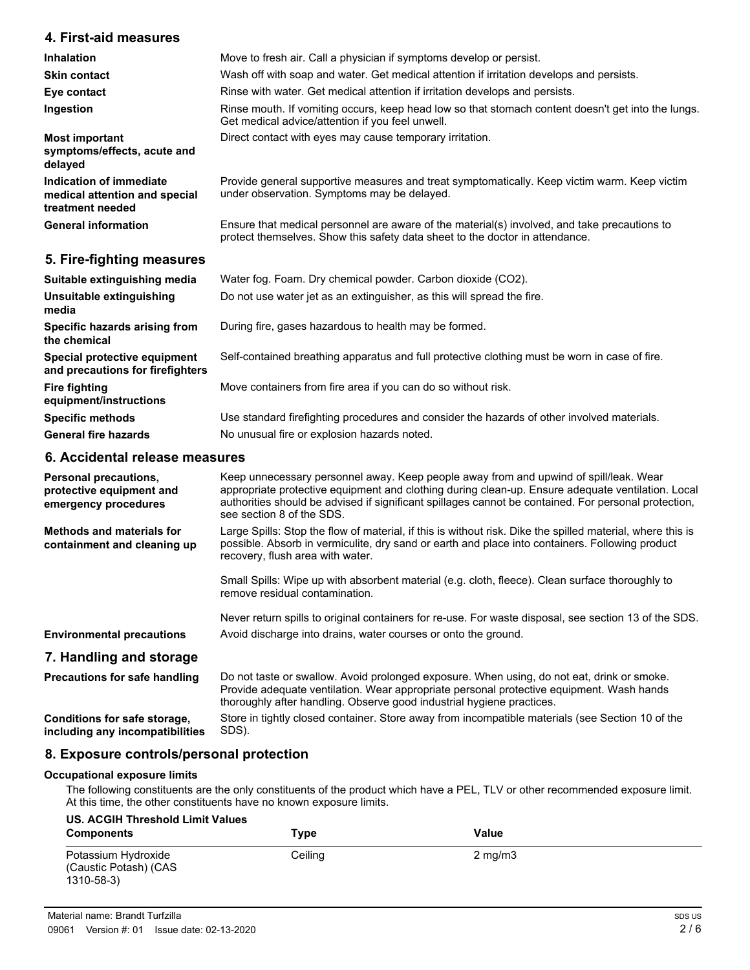## **4. First-aid measures**

| Inhalation                                                                   | Move to fresh air. Call a physician if symptoms develop or persist.                                                                                                          |
|------------------------------------------------------------------------------|------------------------------------------------------------------------------------------------------------------------------------------------------------------------------|
| <b>Skin contact</b>                                                          | Wash off with soap and water. Get medical attention if irritation develops and persists.                                                                                     |
| Eye contact                                                                  | Rinse with water. Get medical attention if irritation develops and persists.                                                                                                 |
| Ingestion                                                                    | Rinse mouth. If vomiting occurs, keep head low so that stomach content doesn't get into the lungs.<br>Get medical advice/attention if you feel unwell.                       |
| <b>Most important</b><br>symptoms/effects, acute and<br>delayed              | Direct contact with eyes may cause temporary irritation.                                                                                                                     |
| Indication of immediate<br>medical attention and special<br>treatment needed | Provide general supportive measures and treat symptomatically. Keep victim warm. Keep victim<br>under observation. Symptoms may be delayed.                                  |
| <b>General information</b>                                                   | Ensure that medical personnel are aware of the material(s) involved, and take precautions to<br>protect themselves. Show this safety data sheet to the doctor in attendance. |

## **5. Fire-fighting measures**

| Suitable extinguishing media<br>Unsuitable extinguishing<br>media | Water fog. Foam. Dry chemical powder. Carbon dioxide (CO2).<br>Do not use water jet as an extinguisher, as this will spread the fire.     |
|-------------------------------------------------------------------|-------------------------------------------------------------------------------------------------------------------------------------------|
| Specific hazards arising from<br>the chemical                     | During fire, gases hazardous to health may be formed.                                                                                     |
| Special protective equipment<br>and precautions for firefighters  | Self-contained breathing apparatus and full protective clothing must be worn in case of fire.                                             |
| Fire fighting<br>equipment/instructions                           | Move containers from fire area if you can do so without risk.                                                                             |
| <b>Specific methods</b><br><b>General fire hazards</b>            | Use standard firefighting procedures and consider the hazards of other involved materials.<br>No unusual fire or explosion hazards noted. |

### **6. Accidental release measures**

| Personal precautions,<br>protective equipment and<br>emergency procedures | Keep unnecessary personnel away. Keep people away from and upwind of spill/leak. Wear<br>appropriate protective equipment and clothing during clean-up. Ensure adequate ventilation. Local<br>authorities should be advised if significant spillages cannot be contained. For personal protection,<br>see section 8 of the SDS. |
|---------------------------------------------------------------------------|---------------------------------------------------------------------------------------------------------------------------------------------------------------------------------------------------------------------------------------------------------------------------------------------------------------------------------|
| Methods and materials for<br>containment and cleaning up                  | Large Spills: Stop the flow of material, if this is without risk. Dike the spilled material, where this is<br>possible. Absorb in vermiculite, dry sand or earth and place into containers. Following product<br>recovery, flush area with water.                                                                               |
|                                                                           | Small Spills: Wipe up with absorbent material (e.g. cloth, fleece). Clean surface thoroughly to<br>remove residual contamination.                                                                                                                                                                                               |
|                                                                           | Never return spills to original containers for re-use. For waste disposal, see section 13 of the SDS.                                                                                                                                                                                                                           |
| <b>Environmental precautions</b>                                          | Avoid discharge into drains, water courses or onto the ground.                                                                                                                                                                                                                                                                  |
| 7. Handling and storage                                                   |                                                                                                                                                                                                                                                                                                                                 |
| <b>Precautions for safe handling</b>                                      | Do not taste or swallow. Avoid prolonged exposure. When using, do not eat, drink or smoke.<br>Provide adequate ventilation. Wear appropriate personal protective equipment. Wash hands<br>thoroughly after handling. Observe good industrial hygiene practices.                                                                 |
| Conditions for safe storage,<br>including any incompatibilities           | Store in tightly closed container. Store away from incompatible materials (see Section 10 of the<br>SDS).                                                                                                                                                                                                                       |

### **8. Exposure controls/personal protection**

### **Occupational exposure limits**

The following constituents are the only constituents of the product which have a PEL, TLV or other recommended exposure limit. At this time, the other constituents have no known exposure limits.

| <b>US. ACGIH Threshold Limit Values</b><br><b>Components</b> | Type    | Value            |
|--------------------------------------------------------------|---------|------------------|
| Potassium Hydroxide<br>(Caustic Potash) (CAS<br>1310-58-3)   | Ceiling | $2 \text{ mg/m}$ |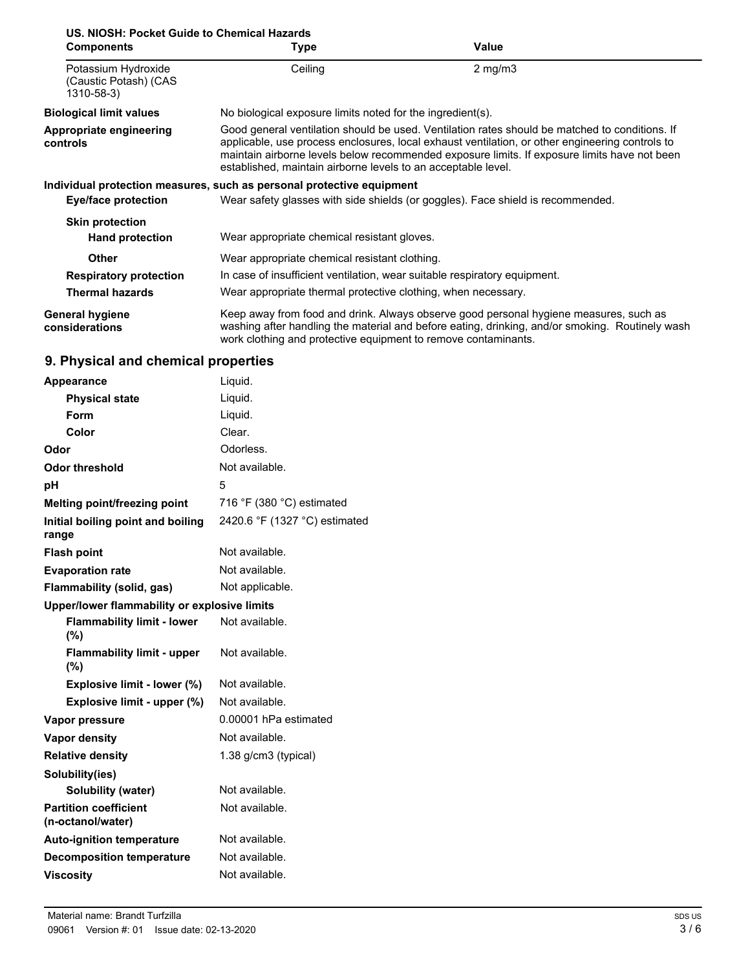| US. NIOSH: Pocket Guide to Chemical Hazards                |                                                                                                                                                                                                                                                                                                                                                                    |                                                                                                                                                                                          |  |
|------------------------------------------------------------|--------------------------------------------------------------------------------------------------------------------------------------------------------------------------------------------------------------------------------------------------------------------------------------------------------------------------------------------------------------------|------------------------------------------------------------------------------------------------------------------------------------------------------------------------------------------|--|
| <b>Components</b>                                          | Type                                                                                                                                                                                                                                                                                                                                                               | Value                                                                                                                                                                                    |  |
| Potassium Hydroxide<br>(Caustic Potash) (CAS<br>1310-58-3) | Ceiling                                                                                                                                                                                                                                                                                                                                                            | $2$ mg/m $3$                                                                                                                                                                             |  |
| <b>Biological limit values</b>                             | No biological exposure limits noted for the ingredient(s).                                                                                                                                                                                                                                                                                                         |                                                                                                                                                                                          |  |
| Appropriate engineering<br>controls                        | Good general ventilation should be used. Ventilation rates should be matched to conditions. If<br>applicable, use process enclosures, local exhaust ventilation, or other engineering controls to<br>maintain airborne levels below recommended exposure limits. If exposure limits have not been<br>established, maintain airborne levels to an acceptable level. |                                                                                                                                                                                          |  |
|                                                            | Individual protection measures, such as personal protective equipment                                                                                                                                                                                                                                                                                              |                                                                                                                                                                                          |  |
| <b>Eye/face protection</b>                                 |                                                                                                                                                                                                                                                                                                                                                                    | Wear safety glasses with side shields (or goggles). Face shield is recommended.                                                                                                          |  |
| <b>Skin protection</b><br><b>Hand protection</b>           | Wear appropriate chemical resistant gloves.                                                                                                                                                                                                                                                                                                                        |                                                                                                                                                                                          |  |
| <b>Other</b>                                               | Wear appropriate chemical resistant clothing.                                                                                                                                                                                                                                                                                                                      |                                                                                                                                                                                          |  |
| <b>Respiratory protection</b>                              | In case of insufficient ventilation, wear suitable respiratory equipment.                                                                                                                                                                                                                                                                                          |                                                                                                                                                                                          |  |
| <b>Thermal hazards</b>                                     | Wear appropriate thermal protective clothing, when necessary.                                                                                                                                                                                                                                                                                                      |                                                                                                                                                                                          |  |
| <b>General hygiene</b><br>considerations                   | work clothing and protective equipment to remove contaminants.                                                                                                                                                                                                                                                                                                     | Keep away from food and drink. Always observe good personal hygiene measures, such as<br>washing after handling the material and before eating, drinking, and/or smoking. Routinely wash |  |

# **9. Physical and chemical properties**

| <b>Appearance</b>                                 | Liquid.                                     |
|---------------------------------------------------|---------------------------------------------|
| <b>Physical state</b>                             | Liquid.                                     |
| Form                                              | Liquid.                                     |
| Color                                             | Clear.                                      |
| Odor                                              | Odorless.                                   |
| <b>Odor threshold</b>                             | Not available.                              |
| рH                                                | 5                                           |
| Melting point/freezing point                      | 716 $\degree$ F (380 $\degree$ C) estimated |
| Initial boiling point and boiling<br>range        | 2420.6 °F (1327 °C) estimated               |
| <b>Flash point</b>                                | Not available.                              |
| <b>Evaporation rate</b>                           | Not available.                              |
| Flammability (solid, gas)                         | Not applicable.                             |
| Upper/lower flammability or explosive limits      |                                             |
| <b>Flammability limit - lower</b><br>(%)          | Not available.                              |
| <b>Flammability limit - upper</b><br>(%)          | Not available.                              |
| Explosive limit - lower (%)                       | Not available.                              |
| Explosive limit - upper (%)                       | Not available.                              |
| Vapor pressure                                    | 0.00001 hPa estimated                       |
| Vapor density                                     | Not available.                              |
| <b>Relative density</b>                           | 1.38 g/cm3 (typical)                        |
| Solubility(ies)                                   |                                             |
| Solubility (water)                                | Not available.                              |
| <b>Partition coefficient</b><br>(n-octanol/water) | Not available.                              |
| <b>Auto-ignition temperature</b>                  | Not available.                              |
| <b>Decomposition temperature</b>                  | Not available.                              |
| <b>Viscositv</b>                                  | Not available.                              |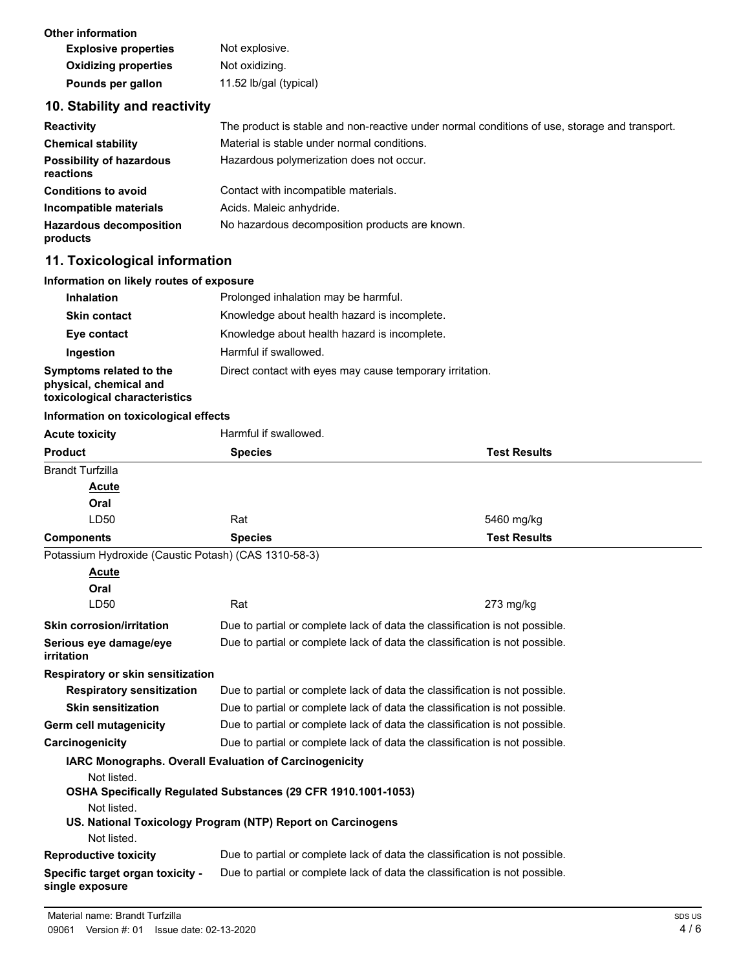| Other information           |                        |
|-----------------------------|------------------------|
| <b>Explosive properties</b> | Not explosive.         |
| <b>Oxidizing properties</b> | Not oxidizing.         |
| Pounds per gallon           | 11.52 lb/gal (typical) |

# **10. Stability and reactivity**

| <b>Reactivity</b>                            | The product is stable and non-reactive under normal conditions of use, storage and transport. |
|----------------------------------------------|-----------------------------------------------------------------------------------------------|
| <b>Chemical stability</b>                    | Material is stable under normal conditions.                                                   |
| <b>Possibility of hazardous</b><br>reactions | Hazardous polymerization does not occur.                                                      |
| <b>Conditions to avoid</b>                   | Contact with incompatible materials.                                                          |
| Incompatible materials                       | Acids. Maleic anhydride.                                                                      |
| <b>Hazardous decomposition</b><br>products   | No hazardous decomposition products are known.                                                |

# **11. Toxicological information**

# **Information on likely routes of exposure**

| <b>Inhalation</b>                                                                  | Prolonged inhalation may be harmful.                     |
|------------------------------------------------------------------------------------|----------------------------------------------------------|
| <b>Skin contact</b>                                                                | Knowledge about health hazard is incomplete.             |
| Eye contact                                                                        | Knowledge about health hazard is incomplete.             |
| Ingestion                                                                          | Harmful if swallowed.                                    |
| Symptoms related to the<br>physical, chemical and<br>toxicological characteristics | Direct contact with eyes may cause temporary irritation. |

### **Information on toxicological effects**

| <b>Acute toxicity</b>                                | Harmful if swallowed.                                                       |                     |
|------------------------------------------------------|-----------------------------------------------------------------------------|---------------------|
| <b>Product</b>                                       | <b>Species</b>                                                              | <b>Test Results</b> |
| <b>Brandt Turfzilla</b>                              |                                                                             |                     |
| Acute                                                |                                                                             |                     |
| Oral                                                 |                                                                             |                     |
| LD50                                                 | Rat                                                                         | 5460 mg/kg          |
| <b>Components</b>                                    | <b>Species</b>                                                              | <b>Test Results</b> |
| Potassium Hydroxide (Caustic Potash) (CAS 1310-58-3) |                                                                             |                     |
| <b>Acute</b>                                         |                                                                             |                     |
| Oral                                                 |                                                                             |                     |
| LD <sub>50</sub>                                     | Rat                                                                         | $273$ mg/kg         |
| <b>Skin corrosion/irritation</b>                     | Due to partial or complete lack of data the classification is not possible. |                     |
| Serious eye damage/eye<br>irritation                 | Due to partial or complete lack of data the classification is not possible. |                     |
| Respiratory or skin sensitization                    |                                                                             |                     |
| <b>Respiratory sensitization</b>                     | Due to partial or complete lack of data the classification is not possible. |                     |
| <b>Skin sensitization</b>                            | Due to partial or complete lack of data the classification is not possible. |                     |
| Germ cell mutagenicity                               | Due to partial or complete lack of data the classification is not possible. |                     |
| Carcinogenicity                                      | Due to partial or complete lack of data the classification is not possible. |                     |
|                                                      | IARC Monographs. Overall Evaluation of Carcinogenicity                      |                     |
| Not listed.                                          | OSHA Specifically Regulated Substances (29 CFR 1910.1001-1053)              |                     |
| Not listed.                                          | US. National Toxicology Program (NTP) Report on Carcinogens                 |                     |
| Not listed.                                          |                                                                             |                     |
| <b>Reproductive toxicity</b>                         | Due to partial or complete lack of data the classification is not possible. |                     |
| Specific target organ toxicity -<br>single exposure  | Due to partial or complete lack of data the classification is not possible. |                     |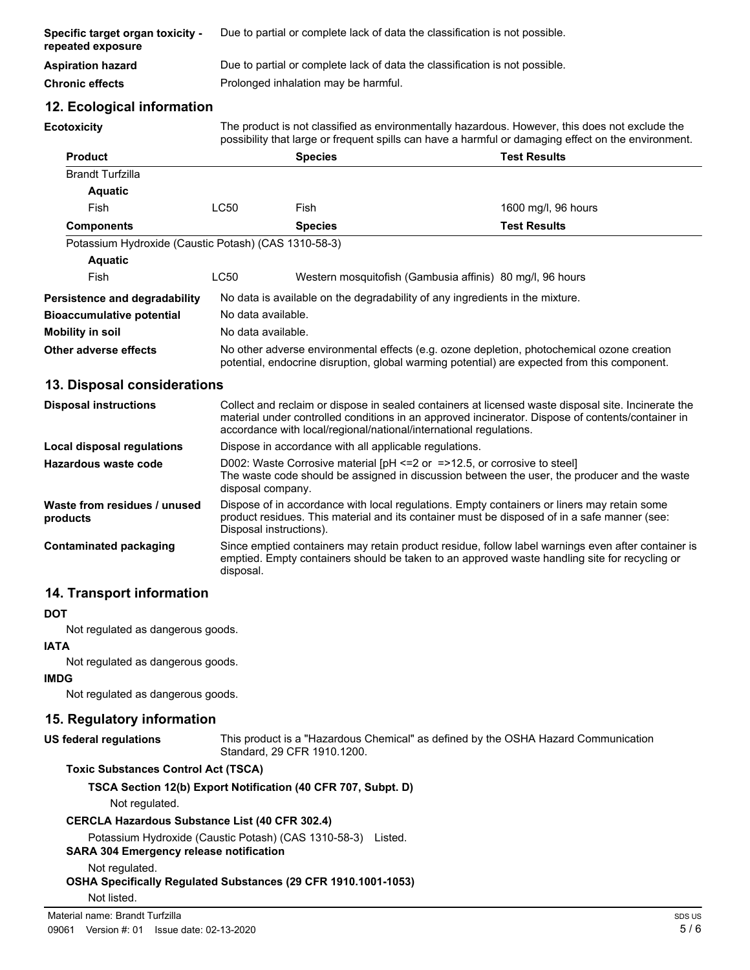| Specific target organ toxicity -<br>repeated exposure | Due to partial or complete lack of data the classification is not possible. |
|-------------------------------------------------------|-----------------------------------------------------------------------------|
| Aspiration hazard                                     | Due to partial or complete lack of data the classification is not possible. |
| Chronic effects                                       | Prolonged inhalation may be harmful.                                        |

# **12. Ecological information**

**Ecotoxicity**

The product is not classified as environmentally hazardous. However, this does not exclude the possibility that large or frequent spills can have a harmful or damaging effect on the environment.

| Fish<br><b>Species</b><br>Potassium Hydroxide (Caustic Potash) (CAS 1310-58-3)                                                                                                             | 1600 mg/l, 96 hours<br><b>Test Results</b><br>Western mosquitofish (Gambusia affinis) 80 mg/l, 96 hours |
|--------------------------------------------------------------------------------------------------------------------------------------------------------------------------------------------|---------------------------------------------------------------------------------------------------------|
|                                                                                                                                                                                            |                                                                                                         |
|                                                                                                                                                                                            |                                                                                                         |
|                                                                                                                                                                                            |                                                                                                         |
|                                                                                                                                                                                            |                                                                                                         |
|                                                                                                                                                                                            |                                                                                                         |
|                                                                                                                                                                                            |                                                                                                         |
|                                                                                                                                                                                            |                                                                                                         |
| No data is available on the degradability of any ingredients in the mixture.                                                                                                               |                                                                                                         |
| No data available.                                                                                                                                                                         |                                                                                                         |
| No data available.                                                                                                                                                                         |                                                                                                         |
| No other adverse environmental effects (e.g. ozone depletion, photochemical ozone creation<br>potential, endocrine disruption, global warming potential) are expected from this component. |                                                                                                         |
| 13. Disposal considerations                                                                                                                                                                |                                                                                                         |

| <b>Disposal instructions</b>             | Collect and reclaim or dispose in sealed containers at licensed waste disposal site. Incinerate the<br>material under controlled conditions in an approved incinerator. Dispose of contents/container in<br>accordance with local/regional/national/international regulations. |
|------------------------------------------|--------------------------------------------------------------------------------------------------------------------------------------------------------------------------------------------------------------------------------------------------------------------------------|
| Local disposal regulations               | Dispose in accordance with all applicable regulations.                                                                                                                                                                                                                         |
| Hazardous waste code                     | D002: Waste Corrosive material $[PH \le 2$ or $= >12.5$ , or corrosive to steel<br>The waste code should be assigned in discussion between the user, the producer and the waste<br>disposal company.                                                                           |
| Waste from residues / unused<br>products | Dispose of in accordance with local regulations. Empty containers or liners may retain some<br>product residues. This material and its container must be disposed of in a safe manner (see:<br>Disposal instructions).                                                         |
| <b>Contaminated packaging</b>            | Since emptied containers may retain product residue, follow label warnings even after container is<br>emptied. Empty containers should be taken to an approved waste handling site for recycling or<br>disposal.                                                               |

# **14. Transport information**

#### **DOT**

Not regulated as dangerous goods.

# **IATA**

Not regulated as dangerous goods.

# **IMDG**

Not regulated as dangerous goods.

# **15. Regulatory information**

# **US federal regulations**

This product is a "Hazardous Chemical" as defined by the OSHA Hazard Communication Standard, 29 CFR 1910.1200.

### **Toxic Substances Control Act (TSCA)**

**TSCA Section 12(b) Export Notification (40 CFR 707, Subpt. D)**

### Not regulated.

### **CERCLA Hazardous Substance List (40 CFR 302.4)**

Potassium Hydroxide (Caustic Potash) (CAS 1310-58-3) Listed.

### **SARA 304 Emergency release notification**

Not regulated.

### **OSHA Specifically Regulated Substances (29 CFR 1910.1001-1053)**

Not listed.